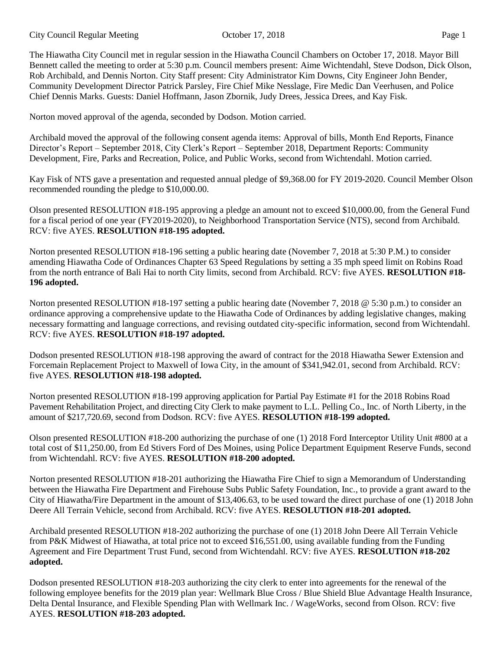The Hiawatha City Council met in regular session in the Hiawatha Council Chambers on October 17, 2018. Mayor Bill Bennett called the meeting to order at 5:30 p.m. Council members present: Aime Wichtendahl, Steve Dodson, Dick Olson, Rob Archibald, and Dennis Norton. City Staff present: City Administrator Kim Downs, City Engineer John Bender, Community Development Director Patrick Parsley, Fire Chief Mike Nesslage, Fire Medic Dan Veerhusen, and Police Chief Dennis Marks. Guests: Daniel Hoffmann, Jason Zbornik, Judy Drees, Jessica Drees, and Kay Fisk.

Norton moved approval of the agenda, seconded by Dodson. Motion carried.

Archibald moved the approval of the following consent agenda items: Approval of bills, Month End Reports, Finance Director's Report – September 2018, City Clerk's Report – September 2018, Department Reports: Community Development, Fire, Parks and Recreation, Police, and Public Works, second from Wichtendahl. Motion carried.

Kay Fisk of NTS gave a presentation and requested annual pledge of \$9,368.00 for FY 2019-2020. Council Member Olson recommended rounding the pledge to \$10,000.00.

Olson presented RESOLUTION #18-195 approving a pledge an amount not to exceed \$10,000.00, from the General Fund for a fiscal period of one year (FY2019-2020), to Neighborhood Transportation Service (NTS), second from Archibald. RCV: five AYES. **RESOLUTION #18-195 adopted.** 

Norton presented RESOLUTION #18-196 setting a public hearing date (November 7, 2018 at 5:30 P.M.) to consider amending Hiawatha Code of Ordinances Chapter 63 Speed Regulations by setting a 35 mph speed limit on Robins Road from the north entrance of Bali Hai to north City limits, second from Archibald. RCV: five AYES. **RESOLUTION #18- 196 adopted.** 

Norton presented RESOLUTION #18-197 setting a public hearing date (November 7, 2018 @ 5:30 p.m.) to consider an ordinance approving a comprehensive update to the Hiawatha Code of Ordinances by adding legislative changes, making necessary formatting and language corrections, and revising outdated city-specific information, second from Wichtendahl. RCV: five AYES. **RESOLUTION #18-197 adopted.** 

Dodson presented RESOLUTION #18-198 approving the award of contract for the 2018 Hiawatha Sewer Extension and Forcemain Replacement Project to Maxwell of Iowa City, in the amount of \$341,942.01, second from Archibald. RCV: five AYES. **RESOLUTION #18-198 adopted.** 

Norton presented RESOLUTION #18-199 approving application for Partial Pay Estimate #1 for the 2018 Robins Road Pavement Rehabilitation Project, and directing City Clerk to make payment to L.L. Pelling Co., Inc. of North Liberty, in the amount of \$217,720.69, second from Dodson. RCV: five AYES. **RESOLUTION #18-199 adopted.** 

Olson presented RESOLUTION #18-200 authorizing the purchase of one (1) 2018 Ford Interceptor Utility Unit #800 at a total cost of \$11,250.00, from Ed Stivers Ford of Des Moines, using Police Department Equipment Reserve Funds, second from Wichtendahl. RCV: five AYES. **RESOLUTION #18-200 adopted.** 

Norton presented RESOLUTION #18-201 authorizing the Hiawatha Fire Chief to sign a Memorandum of Understanding between the Hiawatha Fire Department and Firehouse Subs Public Safety Foundation, Inc., to provide a grant award to the City of Hiawatha/Fire Department in the amount of \$13,406.63, to be used toward the direct purchase of one (1) 2018 John Deere All Terrain Vehicle, second from Archibald. RCV: five AYES. **RESOLUTION #18-201 adopted.** 

Archibald presented RESOLUTION #18-202 authorizing the purchase of one (1) 2018 John Deere All Terrain Vehicle from P&K Midwest of Hiawatha, at total price not to exceed \$16,551.00, using available funding from the Funding Agreement and Fire Department Trust Fund, second from Wichtendahl. RCV: five AYES. **RESOLUTION #18-202 adopted.** 

Dodson presented RESOLUTION #18-203 authorizing the city clerk to enter into agreements for the renewal of the following employee benefits for the 2019 plan year: Wellmark Blue Cross / Blue Shield Blue Advantage Health Insurance, Delta Dental Insurance, and Flexible Spending Plan with Wellmark Inc. / WageWorks, second from Olson. RCV: five AYES. **RESOLUTION #18-203 adopted.**